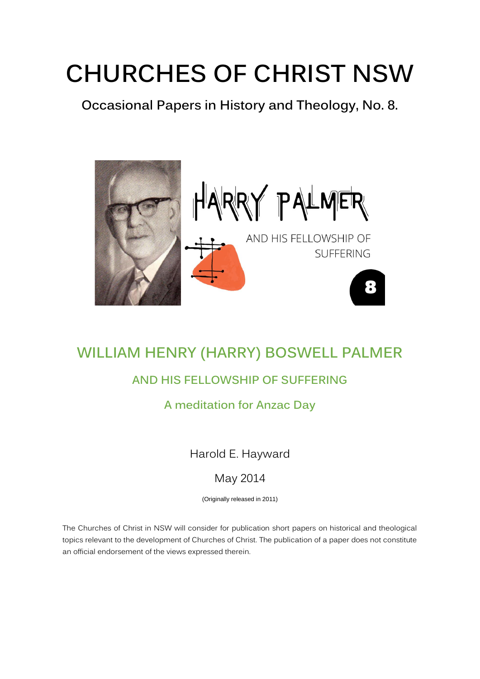# **CHURCHES OF CHRIST NSW**

**Occasional Papers in History and Theology, No. 8.** 



## **WILLIAM HENRY (HARRY) BOSWELL PALMER**

### **AND HIS FELLOWSHIP OF SUFFERING**

#### **A meditation for Anzac Day**

Harold E. Hayward

#### May 2014

(Originally released in 2011)

The Churches of Christ in NSW will consider for publication short papers on historical and theological topics relevant to the development of Churches of Christ. The publication of a paper does not constitute an official endorsement of the views expressed therein.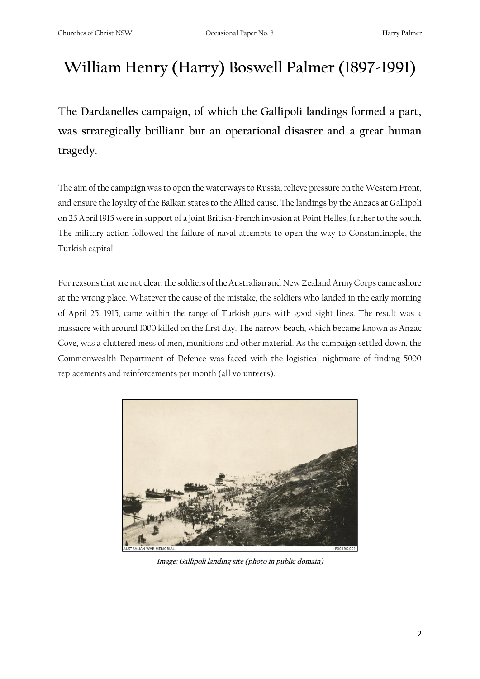## **William Henry (Harry) Boswell Palmer (1897-1991)**

**The Dardanelles campaign, of which the Gallipoli landings formed a part, was strategically brilliant but an operational disaster and a great human tragedy.** 

The aim of the campaign was to open the waterways to Russia, relieve pressure on the Western Front, and ensure the loyalty of the Balkan states to the Allied cause. The landings by the Anzacs at Gallipoli on 25 April 1915 were in support of a joint British-French invasion at Point Helles, further to the south. The military action followed the failure of naval attempts to open the way to Constantinople, the Turkish capital.

For reasons that are not clear, the soldiers of the Australian and New Zealand Army Corps came ashore at the wrong place. Whatever the cause of the mistake, the soldiers who landed in the early morning of April 25, 1915, came within the range of Turkish guns with good sight lines. The result was a massacre with around 1000 killed on the first day. The narrow beach, which became known as Anzac Cove, was a cluttered mess of men, munitions and other material. As the campaign settled down, the Commonwealth Department of Defence was faced with the logistical nightmare of finding 5000 replacements and reinforcements per month (all volunteers).



**Image: Gallipoli landing site (photo in public domain)**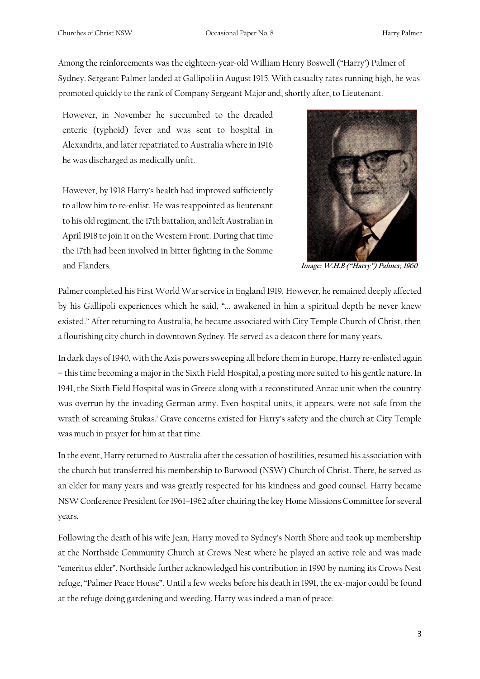Among the reinforcements was the eighteen-year-old William Henry Boswell ("Harry') Palmer of Sydney. Sergeant Palmer landed at Gallipoli in August 1915. With casualty rates running high, he was promoted quickly to the rank of Company Sergeant Major and, shortly after, to Lieutenant.

However, in November he succumbed to the dreaded enteric (typhoid) fever and was sent to hospital in Alexandria, and later repatriated to Australia where in 1916 he was discharged as medically unfit.

However, by 1918 Harry's health had improved sufficiently to allow him to re-enlist. He was reappointed as lieutenant to his old regiment, the 17th battalion, and left Australian in April 1918 to join it on the Western Front. During that time the 17th had been involved in bitter fighting in the Somme and Flanders. **Image: W.H.B ("Harry") Palmer, 1960**



Palmer completed his First World War service in England 1919. However, he remained deeply affected by his Gallipoli experiences which he said, "... awakened in him a spiritual depth he never knew existed." After returning to Australia, he became associated with City Temple Church of Christ, then a flourishing city church in downtown Sydney. He served as a deacon there for many years.

In dark days of 1940, with the Axis powers sweeping all before them in Europe, Harry re-enlisted again – this time becoming a major in the Sixth Field Hospital, a posting more suited to his gentle nature. In 1941, the Sixth Field Hospital was in Greece along with a reconstituted Anzac unit when the country was overrun by the invading German army. Even hospital units, it appears, were not safe from the wrath of screaming Stukas.<sup>i</sup> Grave concerns existed for Harry's safety and the church at City Temple was much in prayer for him at that time.

In the event, Harry returned to Australia after the cessation of hostilities, resumed his association with the church but transferred his membership to Burwood (NSW) Church of Christ. There, he served as an elder for many years and was greatly respected for his kindness and good counsel. Harry became NSW Conference President for 1961–1962 after chairing the key Home Missions Committee for several years.

Following the death of his wife Jean, Harry moved to Sydney's North Shore and took up membership at the Northside Community Church at Crows Nest where he played an active role and was made "emeritus elder". Northside further acknowledged his contribution in 1990 by naming its Crows Nest refuge, "Palmer Peace House". Until a few weeks before his death in 1991, the ex-major could be found at the refuge doing gardening and weeding. Harry was indeed a man of peace.